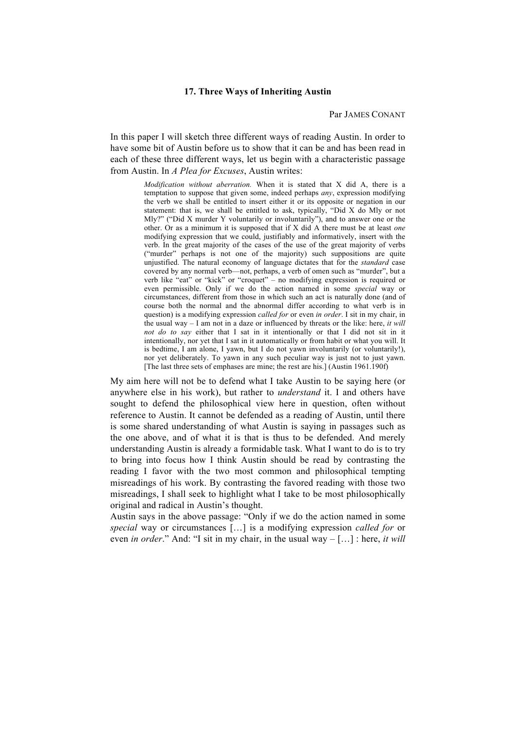## **17. Three Ways of Inheriting Austin**

## Par JAMES CONANT

In this paper I will sketch three different ways of reading Austin. In order to have some bit of Austin before us to show that it can be and has been read in each of these three different ways, let us begin with a characteristic passage from Austin. In *A Plea for Excuses*, Austin writes:

> *Modification without aberration.* When it is stated that X did A, there is a temptation to suppose that given some, indeed perhaps *any*, expression modifying the verb we shall be entitled to insert either it or its opposite or negation in our statement: that is, we shall be entitled to ask, typically, "Did X do Mly or not Mly?" ("Did X murder Y voluntarily or involuntarily"), and to answer one or the other. Or as a minimum it is supposed that if X did A there must be at least *one* modifying expression that we could, justifiably and informatively, insert with the verb. In the great majority of the cases of the use of the great majority of verbs ("murder" perhaps is not one of the majority) such suppositions are quite unjustified. The natural economy of language dictates that for the *standard* case covered by any normal verb—not, perhaps, a verb of omen such as "murder", but a verb like "eat" or "kick" or "croquet" – no modifying expression is required or even permissible. Only if we do the action named in some *special* way or circumstances, different from those in which such an act is naturally done (and of course both the normal and the abnormal differ according to what verb is in question) is a modifying expression *called for* or even *in order*. I sit in my chair, in the usual way – I am not in a daze or influenced by threats or the like: here, *it will not do to say* either that I sat in it intentionally or that I did not sit in it intentionally, nor yet that I sat in it automatically or from habit or what you will. It is bedtime, I am alone, I yawn, but I do not yawn involuntarily (or voluntarily!), nor yet deliberately. To yawn in any such peculiar way is just not to just yawn. [The last three sets of emphases are mine; the rest are his.] (Austin 1961.190f)

My aim here will not be to defend what I take Austin to be saying here (or anywhere else in his work), but rather to *understand* it. I and others have sought to defend the philosophical view here in question, often without reference to Austin. It cannot be defended as a reading of Austin, until there is some shared understanding of what Austin is saying in passages such as the one above, and of what it is that is thus to be defended. And merely understanding Austin is already a formidable task. What I want to do is to try to bring into focus how I think Austin should be read by contrasting the reading I favor with the two most common and philosophical tempting misreadings of his work. By contrasting the favored reading with those two misreadings, I shall seek to highlight what I take to be most philosophically original and radical in Austin's thought.

Austin says in the above passage: "Only if we do the action named in some *special* way or circumstances […] is a modifying expression *called for* or even *in order*." And: "I sit in my chair, in the usual way – […] : here, *it will*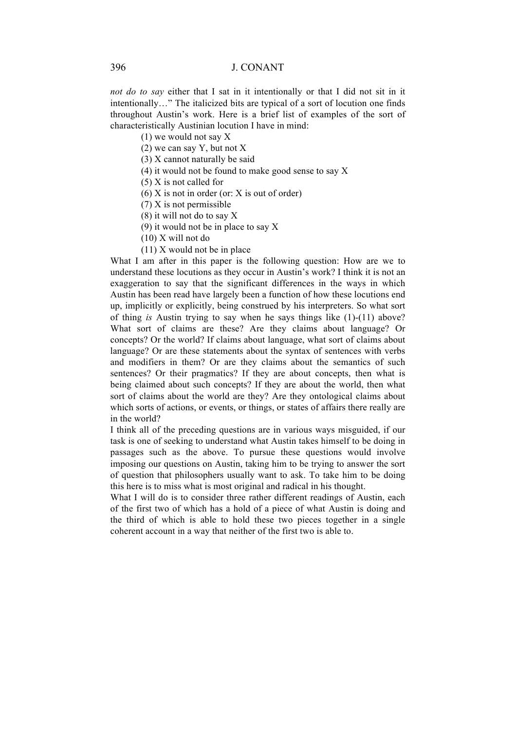*not do to say* either that I sat in it intentionally or that I did not sit in it intentionally…" The italicized bits are typical of a sort of locution one finds throughout Austin's work. Here is a brief list of examples of the sort of characteristically Austinian locution I have in mind:

(1) we would not say X

(2) we can say Y, but not X

(3) X cannot naturally be said

(4) it would not be found to make good sense to say X

(5) X is not called for

(6) X is not in order (or: X is out of order)

(7) X is not permissible

(8) it will not do to say X

(9) it would not be in place to say X

(10) X will not do

(11) X would not be in place

What I am after in this paper is the following question: How are we to understand these locutions as they occur in Austin's work? I think it is not an exaggeration to say that the significant differences in the ways in which Austin has been read have largely been a function of how these locutions end up, implicitly or explicitly, being construed by his interpreters. So what sort of thing *is* Austin trying to say when he says things like (1)-(11) above? What sort of claims are these? Are they claims about language? Or concepts? Or the world? If claims about language, what sort of claims about language? Or are these statements about the syntax of sentences with verbs and modifiers in them? Or are they claims about the semantics of such sentences? Or their pragmatics? If they are about concepts, then what is being claimed about such concepts? If they are about the world, then what sort of claims about the world are they? Are they ontological claims about which sorts of actions, or events, or things, or states of affairs there really are in the world?

I think all of the preceding questions are in various ways misguided, if our task is one of seeking to understand what Austin takes himself to be doing in passages such as the above. To pursue these questions would involve imposing our questions on Austin, taking him to be trying to answer the sort of question that philosophers usually want to ask. To take him to be doing this here is to miss what is most original and radical in his thought.

What I will do is to consider three rather different readings of Austin, each of the first two of which has a hold of a piece of what Austin is doing and the third of which is able to hold these two pieces together in a single coherent account in a way that neither of the first two is able to.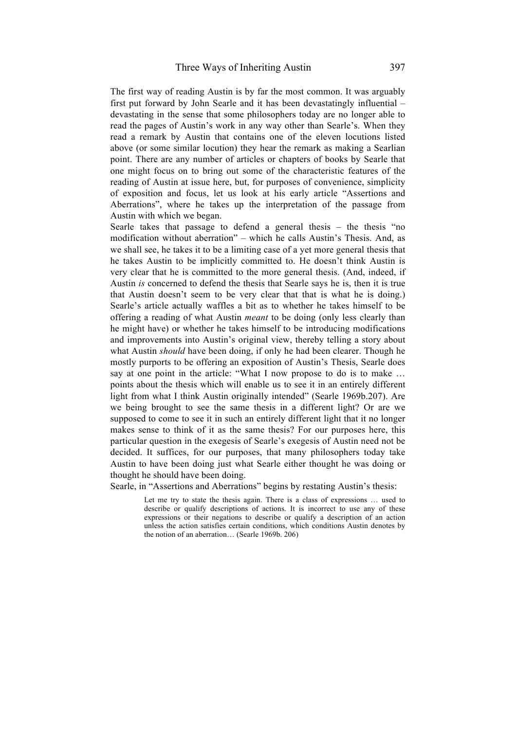The first way of reading Austin is by far the most common. It was arguably first put forward by John Searle and it has been devastatingly influential – devastating in the sense that some philosophers today are no longer able to read the pages of Austin's work in any way other than Searle's. When they read a remark by Austin that contains one of the eleven locutions listed above (or some similar locution) they hear the remark as making a Searlian point. There are any number of articles or chapters of books by Searle that one might focus on to bring out some of the characteristic features of the reading of Austin at issue here, but, for purposes of convenience, simplicity of exposition and focus, let us look at his early article "Assertions and Aberrations", where he takes up the interpretation of the passage from Austin with which we began.

Searle takes that passage to defend a general thesis – the thesis "no modification without aberration" – which he calls Austin's Thesis. And, as we shall see, he takes it to be a limiting case of a yet more general thesis that he takes Austin to be implicitly committed to. He doesn't think Austin is very clear that he is committed to the more general thesis. (And, indeed, if Austin *is* concerned to defend the thesis that Searle says he is, then it is true that Austin doesn't seem to be very clear that that is what he is doing.) Searle's article actually waffles a bit as to whether he takes himself to be offering a reading of what Austin *meant* to be doing (only less clearly than he might have) or whether he takes himself to be introducing modifications and improvements into Austin's original view, thereby telling a story about what Austin *should* have been doing, if only he had been clearer. Though he mostly purports to be offering an exposition of Austin's Thesis, Searle does say at one point in the article: "What I now propose to do is to make … points about the thesis which will enable us to see it in an entirely different light from what I think Austin originally intended" (Searle 1969b.207). Are we being brought to see the same thesis in a different light? Or are we supposed to come to see it in such an entirely different light that it no longer makes sense to think of it as the same thesis? For our purposes here, this particular question in the exegesis of Searle's exegesis of Austin need not be decided. It suffices, for our purposes, that many philosophers today take Austin to have been doing just what Searle either thought he was doing or thought he should have been doing.

Searle, in "Assertions and Aberrations" begins by restating Austin's thesis:

Let me try to state the thesis again. There is a class of expressions … used to describe or qualify descriptions of actions. It is incorrect to use any of these expressions or their negations to describe or qualify a description of an action unless the action satisfies certain conditions, which conditions Austin denotes by the notion of an aberration… (Searle 1969b. 206)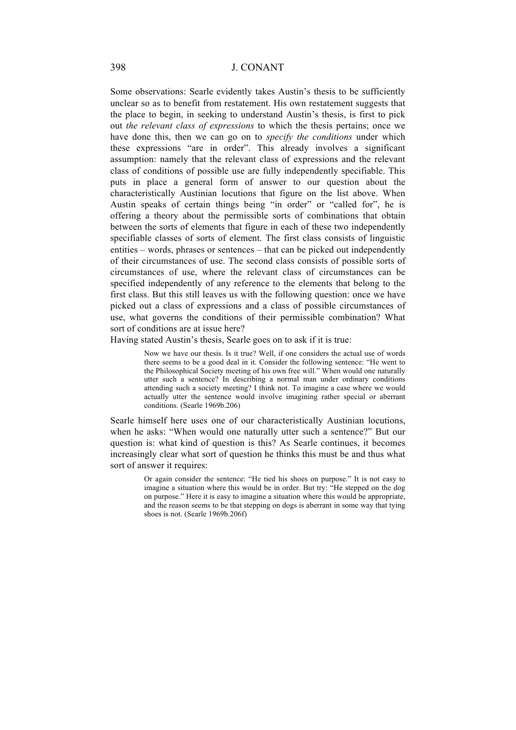## 398 J. CONANT

Some observations: Searle evidently takes Austin's thesis to be sufficiently unclear so as to benefit from restatement. His own restatement suggests that the place to begin, in seeking to understand Austin's thesis, is first to pick out *the relevant class of expressions* to which the thesis pertains; once we have done this, then we can go on to *specify the conditions* under which these expressions "are in order". This already involves a significant assumption: namely that the relevant class of expressions and the relevant class of conditions of possible use are fully independently specifiable. This puts in place a general form of answer to our question about the characteristically Austinian locutions that figure on the list above. When Austin speaks of certain things being "in order" or "called for", he is offering a theory about the permissible sorts of combinations that obtain between the sorts of elements that figure in each of these two independently specifiable classes of sorts of element. The first class consists of linguistic entities – words, phrases or sentences – that can be picked out independently of their circumstances of use. The second class consists of possible sorts of circumstances of use, where the relevant class of circumstances can be specified independently of any reference to the elements that belong to the first class. But this still leaves us with the following question: once we have picked out a class of expressions and a class of possible circumstances of use, what governs the conditions of their permissible combination? What sort of conditions are at issue here?

Having stated Austin's thesis, Searle goes on to ask if it is true:

Now we have our thesis. Is it true? Well, if one considers the actual use of words there seems to be a good deal in it. Consider the following sentence: "He went to the Philosophical Society meeting of his own free will." When would one naturally utter such a sentence? In describing a normal man under ordinary conditions attending such a society meeting? I think not. To imagine a case where we would actually utter the sentence would involve imagining rather special or aberrant conditions. (Searle 1969b.206)

Searle himself here uses one of our characteristically Austinian locutions, when he asks: "When would one naturally utter such a sentence?" But our question is: what kind of question is this? As Searle continues, it becomes increasingly clear what sort of question he thinks this must be and thus what sort of answer it requires:

> Or again consider the sentence: "He tied his shoes on purpose." It is not easy to imagine a situation where this would be in order. But try: "He stepped on the dog on purpose." Here it is easy to imagine a situation where this would be appropriate, and the reason seems to be that stepping on dogs is aberrant in some way that tying shoes is not. (Searle 1969b.206f)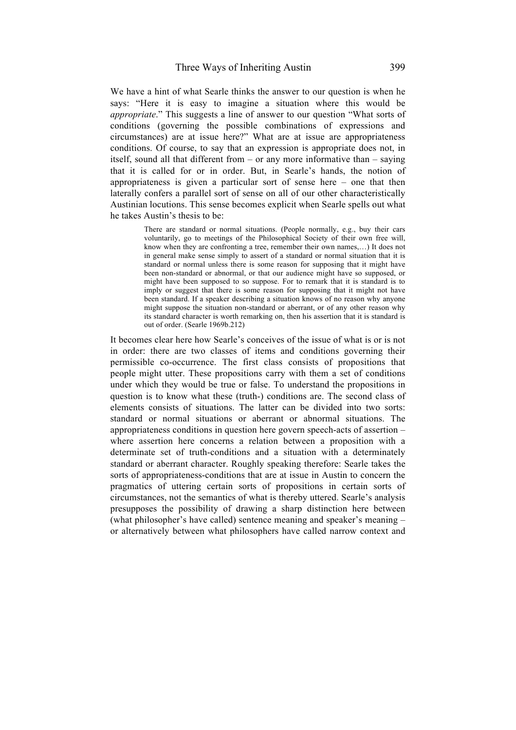We have a hint of what Searle thinks the answer to our question is when he says: "Here it is easy to imagine a situation where this would be *appropriate*." This suggests a line of answer to our question "What sorts of conditions (governing the possible combinations of expressions and circumstances) are at issue here?" What are at issue are appropriateness conditions. Of course, to say that an expression is appropriate does not, in itself, sound all that different from – or any more informative than – saying that it is called for or in order. But, in Searle's hands, the notion of appropriateness is given a particular sort of sense here – one that then laterally confers a parallel sort of sense on all of our other characteristically Austinian locutions. This sense becomes explicit when Searle spells out what he takes Austin's thesis to be:

> There are standard or normal situations. (People normally, e.g., buy their cars voluntarily, go to meetings of the Philosophical Society of their own free will, know when they are confronting a tree, remember their own names,…) It does not in general make sense simply to assert of a standard or normal situation that it is standard or normal unless there is some reason for supposing that it might have been non-standard or abnormal, or that our audience might have so supposed, or might have been supposed to so suppose. For to remark that it is standard is to imply or suggest that there is some reason for supposing that it might not have been standard. If a speaker describing a situation knows of no reason why anyone might suppose the situation non-standard or aberrant, or of any other reason why its standard character is worth remarking on, then his assertion that it is standard is out of order. (Searle 1969b.212)

It becomes clear here how Searle's conceives of the issue of what is or is not in order: there are two classes of items and conditions governing their permissible co-occurrence. The first class consists of propositions that people might utter. These propositions carry with them a set of conditions under which they would be true or false. To understand the propositions in question is to know what these (truth-) conditions are. The second class of elements consists of situations. The latter can be divided into two sorts: standard or normal situations or aberrant or abnormal situations. The appropriateness conditions in question here govern speech-acts of assertion – where assertion here concerns a relation between a proposition with a determinate set of truth-conditions and a situation with a determinately standard or aberrant character. Roughly speaking therefore: Searle takes the sorts of appropriateness-conditions that are at issue in Austin to concern the pragmatics of uttering certain sorts of propositions in certain sorts of circumstances, not the semantics of what is thereby uttered. Searle's analysis presupposes the possibility of drawing a sharp distinction here between (what philosopher's have called) sentence meaning and speaker's meaning – or alternatively between what philosophers have called narrow context and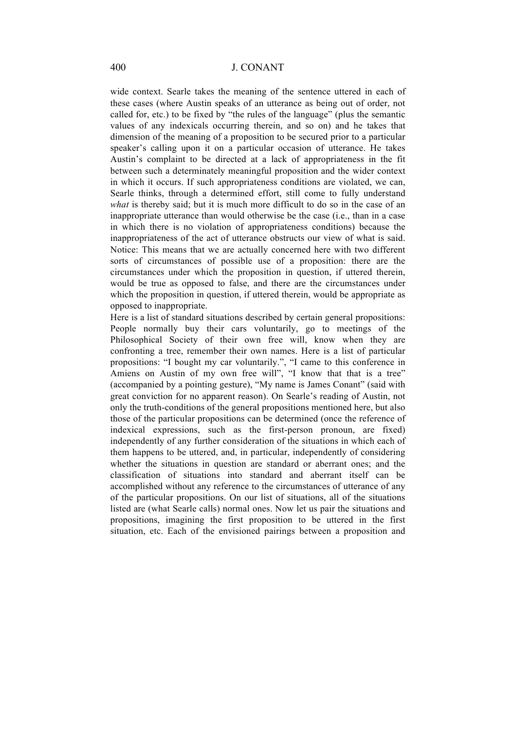wide context. Searle takes the meaning of the sentence uttered in each of these cases (where Austin speaks of an utterance as being out of order, not called for, etc.) to be fixed by "the rules of the language" (plus the semantic values of any indexicals occurring therein, and so on) and he takes that dimension of the meaning of a proposition to be secured prior to a particular speaker's calling upon it on a particular occasion of utterance. He takes Austin's complaint to be directed at a lack of appropriateness in the fit between such a determinately meaningful proposition and the wider context in which it occurs. If such appropriateness conditions are violated, we can, Searle thinks, through a determined effort, still come to fully understand *what* is thereby said; but it is much more difficult to do so in the case of an inappropriate utterance than would otherwise be the case (i.e., than in a case in which there is no violation of appropriateness conditions) because the inappropriateness of the act of utterance obstructs our view of what is said. Notice: This means that we are actually concerned here with two different sorts of circumstances of possible use of a proposition: there are the circumstances under which the proposition in question, if uttered therein, would be true as opposed to false, and there are the circumstances under which the proposition in question, if uttered therein, would be appropriate as opposed to inappropriate.

Here is a list of standard situations described by certain general propositions: People normally buy their cars voluntarily, go to meetings of the Philosophical Society of their own free will, know when they are confronting a tree, remember their own names. Here is a list of particular propositions: "I bought my car voluntarily.", "I came to this conference in Amiens on Austin of my own free will", "I know that that is a tree" (accompanied by a pointing gesture), "My name is James Conant" (said with great conviction for no apparent reason). On Searle's reading of Austin, not only the truth-conditions of the general propositions mentioned here, but also those of the particular propositions can be determined (once the reference of indexical expressions, such as the first-person pronoun, are fixed) independently of any further consideration of the situations in which each of them happens to be uttered, and, in particular, independently of considering whether the situations in question are standard or aberrant ones; and the classification of situations into standard and aberrant itself can be accomplished without any reference to the circumstances of utterance of any of the particular propositions. On our list of situations, all of the situations listed are (what Searle calls) normal ones. Now let us pair the situations and propositions, imagining the first proposition to be uttered in the first situation, etc. Each of the envisioned pairings between a proposition and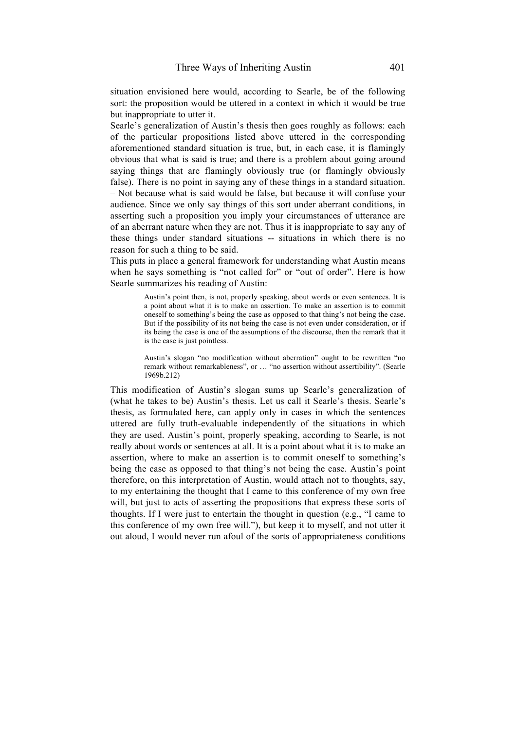situation envisioned here would, according to Searle, be of the following sort: the proposition would be uttered in a context in which it would be true but inappropriate to utter it.

Searle's generalization of Austin's thesis then goes roughly as follows: each of the particular propositions listed above uttered in the corresponding aforementioned standard situation is true, but, in each case, it is flamingly obvious that what is said is true; and there is a problem about going around saying things that are flamingly obviously true (or flamingly obviously false). There is no point in saying any of these things in a standard situation. – Not because what is said would be false, but because it will confuse your audience. Since we only say things of this sort under aberrant conditions, in asserting such a proposition you imply your circumstances of utterance are of an aberrant nature when they are not. Thus it is inappropriate to say any of these things under standard situations -- situations in which there is no reason for such a thing to be said.

This puts in place a general framework for understanding what Austin means when he says something is "not called for" or "out of order". Here is how Searle summarizes his reading of Austin:

> Austin's point then, is not, properly speaking, about words or even sentences. It is a point about what it is to make an assertion. To make an assertion is to commit oneself to something's being the case as opposed to that thing's not being the case. But if the possibility of its not being the case is not even under consideration, or if its being the case is one of the assumptions of the discourse, then the remark that it is the case is just pointless.

> Austin's slogan "no modification without aberration" ought to be rewritten "no remark without remarkableness", or … "no assertion without assertibility". (Searle 1969b.212)

This modification of Austin's slogan sums up Searle's generalization of (what he takes to be) Austin's thesis. Let us call it Searle's thesis. Searle's thesis, as formulated here, can apply only in cases in which the sentences uttered are fully truth-evaluable independently of the situations in which they are used. Austin's point, properly speaking, according to Searle, is not really about words or sentences at all. It is a point about what it is to make an assertion, where to make an assertion is to commit oneself to something's being the case as opposed to that thing's not being the case. Austin's point therefore, on this interpretation of Austin, would attach not to thoughts, say, to my entertaining the thought that I came to this conference of my own free will, but just to acts of asserting the propositions that express these sorts of thoughts. If I were just to entertain the thought in question (e.g., "I came to this conference of my own free will."), but keep it to myself, and not utter it out aloud, I would never run afoul of the sorts of appropriateness conditions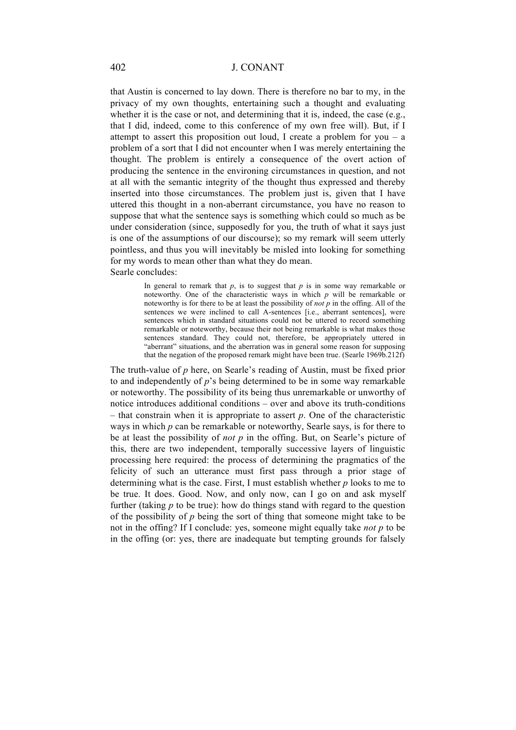## 402 J. CONANT

that Austin is concerned to lay down. There is therefore no bar to my, in the privacy of my own thoughts, entertaining such a thought and evaluating whether it is the case or not, and determining that it is, indeed, the case (e.g., that I did, indeed, come to this conference of my own free will). But, if I attempt to assert this proposition out loud, I create a problem for you – a problem of a sort that I did not encounter when I was merely entertaining the thought. The problem is entirely a consequence of the overt action of producing the sentence in the environing circumstances in question, and not at all with the semantic integrity of the thought thus expressed and thereby inserted into those circumstances. The problem just is, given that I have uttered this thought in a non-aberrant circumstance, you have no reason to suppose that what the sentence says is something which could so much as be under consideration (since, supposedly for you, the truth of what it says just is one of the assumptions of our discourse); so my remark will seem utterly pointless, and thus you will inevitably be misled into looking for something for my words to mean other than what they do mean. Searle concludes:

> In general to remark that  $p$ , is to suggest that  $p$  is in some way remarkable or noteworthy. One of the characteristic ways in which *p* will be remarkable or noteworthy is for there to be at least the possibility of *not p* in the offing. All of the sentences we were inclined to call A-sentences [i.e., aberrant sentences], were sentences which in standard situations could not be uttered to record something remarkable or noteworthy, because their not being remarkable is what makes those sentences standard. They could not, therefore, be appropriately uttered in "aberrant" situations, and the aberration was in general some reason for supposing that the negation of the proposed remark might have been true. (Searle 1969b.212f)

The truth-value of *p* here, on Searle's reading of Austin, must be fixed prior to and independently of *p*'s being determined to be in some way remarkable or noteworthy. The possibility of its being thus unremarkable or unworthy of notice introduces additional conditions – over and above its truth-conditions – that constrain when it is appropriate to assert *p*. One of the characteristic ways in which *p* can be remarkable or noteworthy, Searle says, is for there to be at least the possibility of *not p* in the offing. But, on Searle's picture of this, there are two independent, temporally successive layers of linguistic processing here required: the process of determining the pragmatics of the felicity of such an utterance must first pass through a prior stage of determining what is the case. First, I must establish whether *p* looks to me to be true. It does. Good. Now, and only now, can I go on and ask myself further (taking *p* to be true): how do things stand with regard to the question of the possibility of *p* being the sort of thing that someone might take to be not in the offing? If I conclude: yes, someone might equally take *not p* to be in the offing (or: yes, there are inadequate but tempting grounds for falsely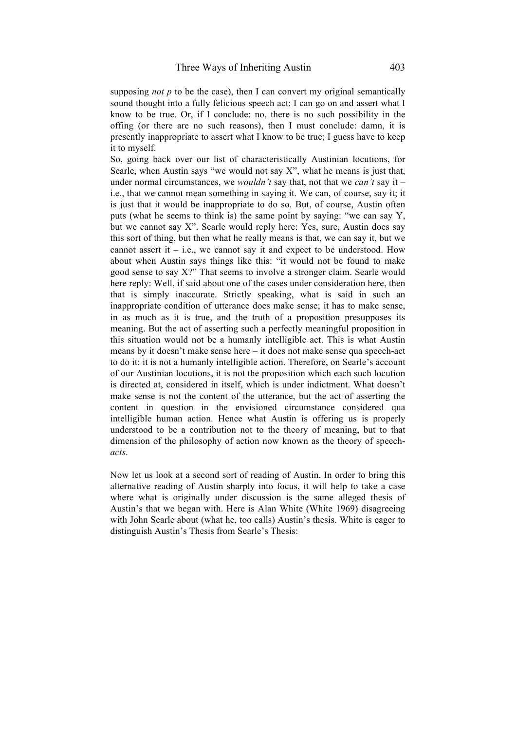supposing *not* p to be the case), then I can convert my original semantically sound thought into a fully felicious speech act: I can go on and assert what I know to be true. Or, if I conclude: no, there is no such possibility in the offing (or there are no such reasons), then I must conclude: damn, it is presently inappropriate to assert what I know to be true; I guess have to keep it to myself.

So, going back over our list of characteristically Austinian locutions, for Searle, when Austin says "we would not say  $X$ ", what he means is just that, under normal circumstances, we *wouldn't* say that, not that we *can't* say it – i.e., that we cannot mean something in saying it. We can, of course, say it; it is just that it would be inappropriate to do so. But, of course, Austin often puts (what he seems to think is) the same point by saying: "we can say Y, but we cannot say X". Searle would reply here: Yes, sure, Austin does say this sort of thing, but then what he really means is that, we can say it, but we cannot assert it  $-$  i.e., we cannot say it and expect to be understood. How about when Austin says things like this: "it would not be found to make good sense to say X?" That seems to involve a stronger claim. Searle would here reply: Well, if said about one of the cases under consideration here, then that is simply inaccurate. Strictly speaking, what is said in such an inappropriate condition of utterance does make sense; it has to make sense, in as much as it is true, and the truth of a proposition presupposes its meaning. But the act of asserting such a perfectly meaningful proposition in this situation would not be a humanly intelligible act. This is what Austin means by it doesn't make sense here – it does not make sense qua speech-act to do it: it is not a humanly intelligible action. Therefore, on Searle's account of our Austinian locutions, it is not the proposition which each such locution is directed at, considered in itself, which is under indictment. What doesn't make sense is not the content of the utterance, but the act of asserting the content in question in the envisioned circumstance considered qua intelligible human action. Hence what Austin is offering us is properly understood to be a contribution not to the theory of meaning, but to that dimension of the philosophy of action now known as the theory of speech*acts*.

Now let us look at a second sort of reading of Austin. In order to bring this alternative reading of Austin sharply into focus, it will help to take a case where what is originally under discussion is the same alleged thesis of Austin's that we began with. Here is Alan White (White 1969) disagreeing with John Searle about (what he, too calls) Austin's thesis. White is eager to distinguish Austin's Thesis from Searle's Thesis: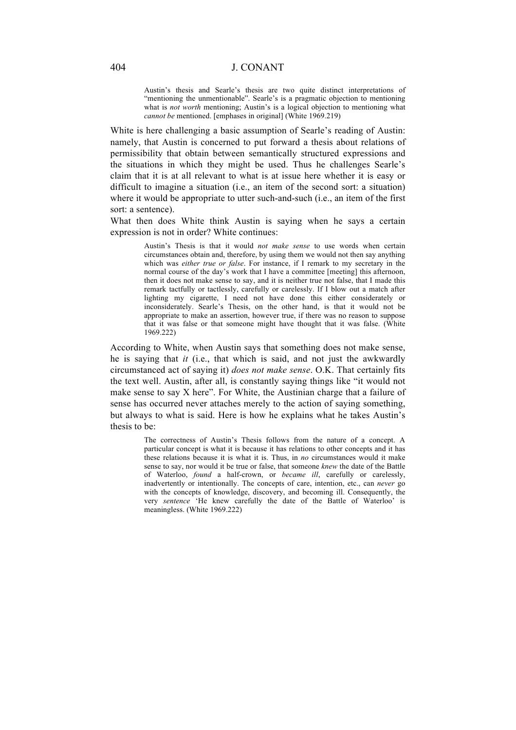Austin's thesis and Searle's thesis are two quite distinct interpretations of "mentioning the unmentionable". Searle's is a pragmatic objection to mentioning what is *not worth* mentioning; Austin's is a logical objection to mentioning what *cannot be* mentioned. [emphases in original] (White 1969.219)

White is here challenging a basic assumption of Searle's reading of Austin: namely, that Austin is concerned to put forward a thesis about relations of permissibility that obtain between semantically structured expressions and the situations in which they might be used. Thus he challenges Searle's claim that it is at all relevant to what is at issue here whether it is easy or difficult to imagine a situation (i.e., an item of the second sort: a situation) where it would be appropriate to utter such-and-such (i.e., an item of the first sort: a sentence).

What then does White think Austin is saying when he says a certain expression is not in order? White continues:

> Austin's Thesis is that it would *not make sense* to use words when certain circumstances obtain and, therefore, by using them we would not then say anything which was *either true or false*. For instance, if I remark to my secretary in the normal course of the day's work that I have a committee [meeting] this afternoon, then it does not make sense to say, and it is neither true not false, that I made this remark tactfully or tactlessly, carefully or carelessly. If I blow out a match after lighting my cigarette, I need not have done this either considerately or inconsiderately. Searle's Thesis, on the other hand, is that it would not be appropriate to make an assertion, however true, if there was no reason to suppose that it was false or that someone might have thought that it was false. (White 1969.222)

According to White, when Austin says that something does not make sense, he is saying that *it* (i.e., that which is said, and not just the awkwardly circumstanced act of saying it) *does not make sense*. O.K. That certainly fits the text well. Austin, after all, is constantly saying things like "it would not make sense to say X here". For White, the Austinian charge that a failure of sense has occurred never attaches merely to the action of saying something, but always to what is said. Here is how he explains what he takes Austin's thesis to be:

> The correctness of Austin's Thesis follows from the nature of a concept. A particular concept is what it is because it has relations to other concepts and it has these relations because it is what it is. Thus, in *no* circumstances would it make sense to say, nor would it be true or false, that someone *knew* the date of the Battle of Waterloo, *found* a half-crown, or *became ill*, carefully or carelessly, inadvertently or intentionally. The concepts of care, intention, etc., can *never* go with the concepts of knowledge, discovery, and becoming ill. Consequently, the very *sentence* 'He knew carefully the date of the Battle of Waterloo' is meaningless. (White 1969.222)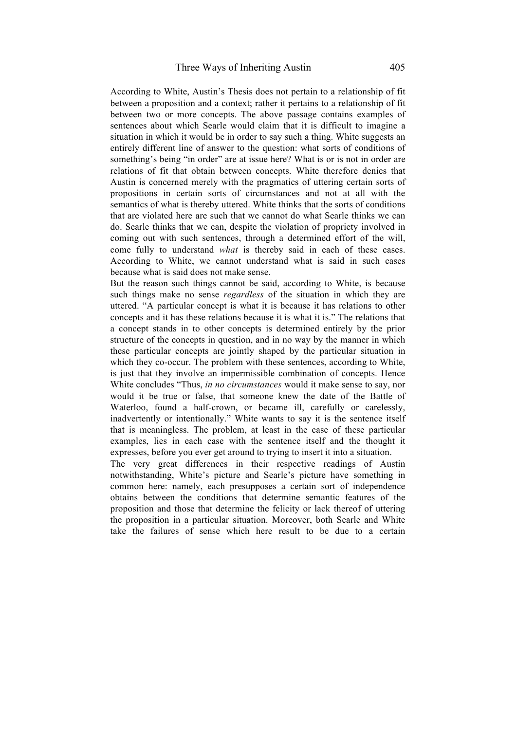According to White, Austin's Thesis does not pertain to a relationship of fit between a proposition and a context; rather it pertains to a relationship of fit between two or more concepts. The above passage contains examples of sentences about which Searle would claim that it is difficult to imagine a situation in which it would be in order to say such a thing. White suggests an entirely different line of answer to the question: what sorts of conditions of something's being "in order" are at issue here? What is or is not in order are relations of fit that obtain between concepts. White therefore denies that Austin is concerned merely with the pragmatics of uttering certain sorts of propositions in certain sorts of circumstances and not at all with the semantics of what is thereby uttered. White thinks that the sorts of conditions that are violated here are such that we cannot do what Searle thinks we can do. Searle thinks that we can, despite the violation of propriety involved in coming out with such sentences, through a determined effort of the will, come fully to understand *what* is thereby said in each of these cases. According to White, we cannot understand what is said in such cases because what is said does not make sense.

But the reason such things cannot be said, according to White, is because such things make no sense *regardless* of the situation in which they are uttered. "A particular concept is what it is because it has relations to other concepts and it has these relations because it is what it is." The relations that a concept stands in to other concepts is determined entirely by the prior structure of the concepts in question, and in no way by the manner in which these particular concepts are jointly shaped by the particular situation in which they co-occur. The problem with these sentences, according to White, is just that they involve an impermissible combination of concepts. Hence White concludes "Thus, *in no circumstances* would it make sense to say, nor would it be true or false, that someone knew the date of the Battle of Waterloo, found a half-crown, or became ill, carefully or carelessly, inadvertently or intentionally." White wants to say it is the sentence itself that is meaningless. The problem, at least in the case of these particular examples, lies in each case with the sentence itself and the thought it expresses, before you ever get around to trying to insert it into a situation.

The very great differences in their respective readings of Austin notwithstanding, White's picture and Searle's picture have something in common here: namely, each presupposes a certain sort of independence obtains between the conditions that determine semantic features of the proposition and those that determine the felicity or lack thereof of uttering the proposition in a particular situation. Moreover, both Searle and White take the failures of sense which here result to be due to a certain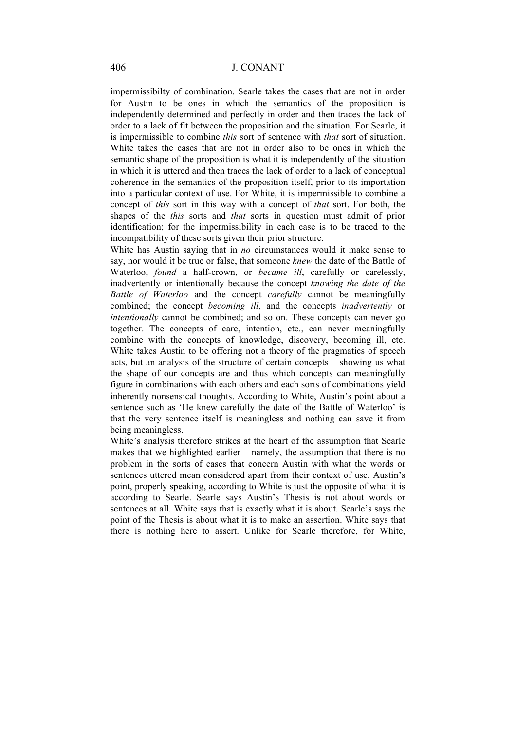impermissibilty of combination. Searle takes the cases that are not in order for Austin to be ones in which the semantics of the proposition is independently determined and perfectly in order and then traces the lack of order to a lack of fit between the proposition and the situation. For Searle, it is impermissible to combine *this* sort of sentence with *that* sort of situation. White takes the cases that are not in order also to be ones in which the semantic shape of the proposition is what it is independently of the situation in which it is uttered and then traces the lack of order to a lack of conceptual coherence in the semantics of the proposition itself, prior to its importation into a particular context of use. For White, it is impermissible to combine a concept of *this* sort in this way with a concept of *that* sort. For both, the shapes of the *this* sorts and *that* sorts in question must admit of prior identification; for the impermissibility in each case is to be traced to the incompatibility of these sorts given their prior structure.

White has Austin saying that in *no* circumstances would it make sense to say, nor would it be true or false, that someone *knew* the date of the Battle of Waterloo, *found* a half-crown, or *became ill*, carefully or carelessly, inadvertently or intentionally because the concept *knowing the date of the Battle of Waterloo* and the concept *carefully* cannot be meaningfully combined; the concept *becoming ill*, and the concepts *inadvertently* or *intentionally* cannot be combined; and so on. These concepts can never go together. The concepts of care, intention, etc., can never meaningfully combine with the concepts of knowledge, discovery, becoming ill, etc. White takes Austin to be offering not a theory of the pragmatics of speech acts, but an analysis of the structure of certain concepts – showing us what the shape of our concepts are and thus which concepts can meaningfully figure in combinations with each others and each sorts of combinations yield inherently nonsensical thoughts. According to White, Austin's point about a sentence such as 'He knew carefully the date of the Battle of Waterloo' is that the very sentence itself is meaningless and nothing can save it from being meaningless.

White's analysis therefore strikes at the heart of the assumption that Searle makes that we highlighted earlier – namely, the assumption that there is no problem in the sorts of cases that concern Austin with what the words or sentences uttered mean considered apart from their context of use. Austin's point, properly speaking, according to White is just the opposite of what it is according to Searle. Searle says Austin's Thesis is not about words or sentences at all. White says that is exactly what it is about. Searle's says the point of the Thesis is about what it is to make an assertion. White says that there is nothing here to assert. Unlike for Searle therefore, for White,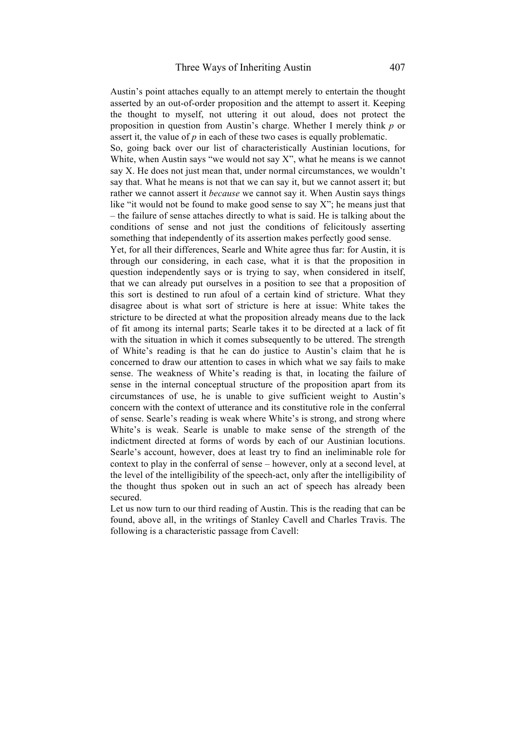Austin's point attaches equally to an attempt merely to entertain the thought asserted by an out-of-order proposition and the attempt to assert it. Keeping the thought to myself, not uttering it out aloud, does not protect the proposition in question from Austin's charge. Whether I merely think *p* or assert it, the value of *p* in each of these two cases is equally problematic.

So, going back over our list of characteristically Austinian locutions, for White, when Austin says "we would not say X", what he means is we cannot say X. He does not just mean that, under normal circumstances, we wouldn't say that. What he means is not that we can say it, but we cannot assert it; but rather we cannot assert it *because* we cannot say it. When Austin says things like "it would not be found to make good sense to say  $X$ "; he means just that – the failure of sense attaches directly to what is said. He is talking about the conditions of sense and not just the conditions of felicitously asserting something that independently of its assertion makes perfectly good sense.

Yet, for all their differences, Searle and White agree thus far: for Austin, it is through our considering, in each case, what it is that the proposition in question independently says or is trying to say, when considered in itself, that we can already put ourselves in a position to see that a proposition of this sort is destined to run afoul of a certain kind of stricture. What they disagree about is what sort of stricture is here at issue: White takes the stricture to be directed at what the proposition already means due to the lack of fit among its internal parts; Searle takes it to be directed at a lack of fit with the situation in which it comes subsequently to be uttered. The strength of White's reading is that he can do justice to Austin's claim that he is concerned to draw our attention to cases in which what we say fails to make sense. The weakness of White's reading is that, in locating the failure of sense in the internal conceptual structure of the proposition apart from its circumstances of use, he is unable to give sufficient weight to Austin's concern with the context of utterance and its constitutive role in the conferral of sense. Searle's reading is weak where White's is strong, and strong where White's is weak. Searle is unable to make sense of the strength of the indictment directed at forms of words by each of our Austinian locutions. Searle's account, however, does at least try to find an ineliminable role for context to play in the conferral of sense – however, only at a second level, at the level of the intelligibility of the speech-act, only after the intelligibility of the thought thus spoken out in such an act of speech has already been secured.

Let us now turn to our third reading of Austin. This is the reading that can be found, above all, in the writings of Stanley Cavell and Charles Travis. The following is a characteristic passage from Cavell: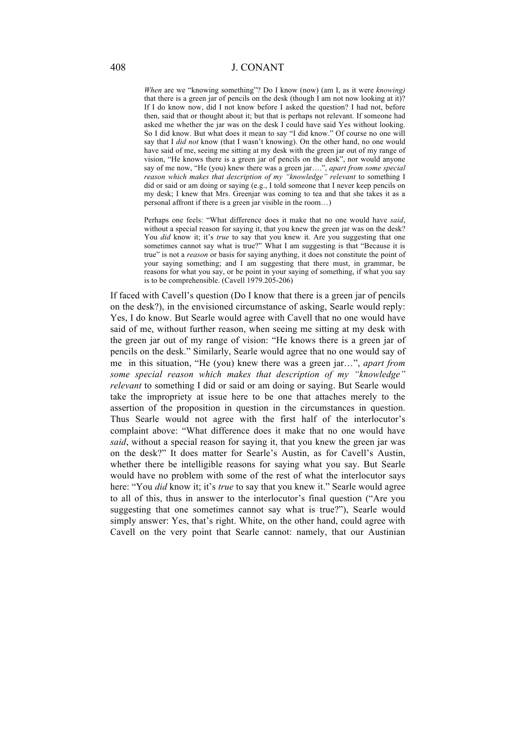*When* are we "knowing something"? Do I know (now) (am I, as it were *knowing)* that there is a green jar of pencils on the desk (though I am not now looking at it)? If I do know now, did I not know before I asked the question? I had not, before then, said that or thought about it; but that is perhaps not relevant. If someone had asked me whether the jar was on the desk I could have said Yes without looking. So I did know. But what does it mean to say "I did know." Of course no one will say that I *did not* know (that I wasn't knowing). On the other hand, no one would have said of me, seeing me sitting at my desk with the green jar out of my range of vision, "He knows there is a green jar of pencils on the desk", nor would anyone say of me now, "He (you) knew there was a green jar….", *apart from some special reason which makes that description of my "knowledge" relevant* to something I did or said or am doing or saying (e.g., I told someone that I never keep pencils on my desk; I knew that Mrs. Greenjar was coming to tea and that she takes it as a personal affront if there is a green jar visible in the room…)

Perhaps one feels: "What difference does it make that no one would have *said*, without a special reason for saying it, that you knew the green jar was on the desk? You *did* know it; it's *true* to say that you knew it. Are you suggesting that one sometimes cannot say what is true?" What I am suggesting is that "Because it is true" is not a *reason* or basis for saying anything, it does not constitute the point of your saying something; and I am suggesting that there must, in grammar, be reasons for what you say, or be point in your saying of something, if what you say is to be comprehensible. (Cavell 1979.205-206)

If faced with Cavell's question (Do I know that there is a green jar of pencils on the desk?), in the envisioned circumstance of asking, Searle would reply: Yes, I do know. But Searle would agree with Cavell that no one would have said of me, without further reason, when seeing me sitting at my desk with the green jar out of my range of vision: "He knows there is a green jar of pencils on the desk." Similarly, Searle would agree that no one would say of me in this situation, "He (you) knew there was a green jar…", *apart from some special reason which makes that description of my "knowledge" relevant* to something I did or said or am doing or saying. But Searle would take the impropriety at issue here to be one that attaches merely to the assertion of the proposition in question in the circumstances in question. Thus Searle would not agree with the first half of the interlocutor's complaint above: "What difference does it make that no one would have *said*, without a special reason for saying it, that you knew the green jar was on the desk?" It does matter for Searle's Austin, as for Cavell's Austin, whether there be intelligible reasons for saying what you say. But Searle would have no problem with some of the rest of what the interlocutor says here: "You *did* know it; it's *true* to say that you knew it." Searle would agree to all of this, thus in answer to the interlocutor's final question ("Are you suggesting that one sometimes cannot say what is true?"), Searle would simply answer: Yes, that's right. White, on the other hand, could agree with Cavell on the very point that Searle cannot: namely, that our Austinian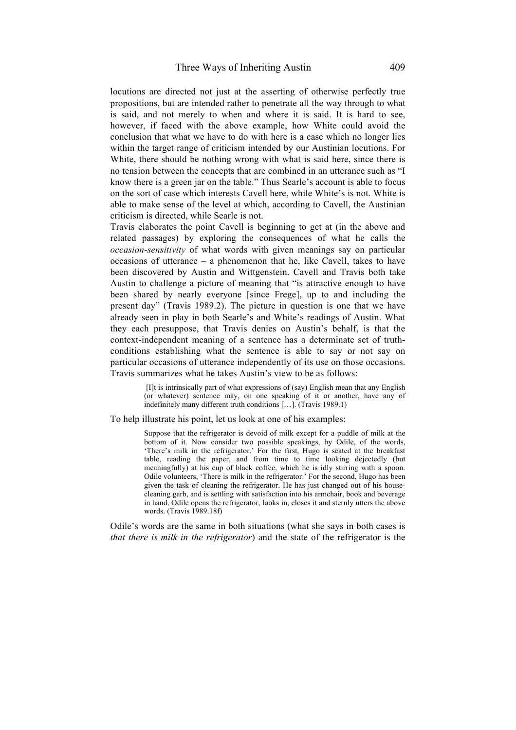locutions are directed not just at the asserting of otherwise perfectly true propositions, but are intended rather to penetrate all the way through to what is said, and not merely to when and where it is said. It is hard to see, however, if faced with the above example, how White could avoid the conclusion that what we have to do with here is a case which no longer lies within the target range of criticism intended by our Austinian locutions. For White, there should be nothing wrong with what is said here, since there is no tension between the concepts that are combined in an utterance such as "I know there is a green jar on the table." Thus Searle's account is able to focus on the sort of case which interests Cavell here, while White's is not. White is able to make sense of the level at which, according to Cavell, the Austinian criticism is directed, while Searle is not.

Travis elaborates the point Cavell is beginning to get at (in the above and related passages) by exploring the consequences of what he calls the *occasion-sensitivity* of what words with given meanings say on particular occasions of utterance – a phenomenon that he, like Cavell, takes to have been discovered by Austin and Wittgenstein. Cavell and Travis both take Austin to challenge a picture of meaning that "is attractive enough to have been shared by nearly everyone [since Frege], up to and including the present day" (Travis 1989.2). The picture in question is one that we have already seen in play in both Searle's and White's readings of Austin. What they each presuppose, that Travis denies on Austin's behalf, is that the context-independent meaning of a sentence has a determinate set of truthconditions establishing what the sentence is able to say or not say on particular occasions of utterance independently of its use on those occasions. Travis summarizes what he takes Austin's view to be as follows:

> [I]t is intrinsically part of what expressions of (say) English mean that any English (or whatever) sentence may, on one speaking of it or another, have any of indefinitely many different truth conditions […]. (Travis 1989.1)

To help illustrate his point, let us look at one of his examples:

Suppose that the refrigerator is devoid of milk except for a puddle of milk at the bottom of it. Now consider two possible speakings, by Odile, of the words, 'There's milk in the refrigerator.' For the first, Hugo is seated at the breakfast table, reading the paper, and from time to time looking dejectedly (but meaningfully) at his cup of black coffee, which he is idly stirring with a spoon. Odile volunteers, 'There is milk in the refrigerator.' For the second, Hugo has been given the task of cleaning the refrigerator. He has just changed out of his housecleaning garb, and is settling with satisfaction into his armchair, book and beverage in hand. Odile opens the refrigerator, looks in, closes it and sternly utters the above words. (Travis 1989.18f)

Odile's words are the same in both situations (what she says in both cases is *that there is milk in the refrigerator*) and the state of the refrigerator is the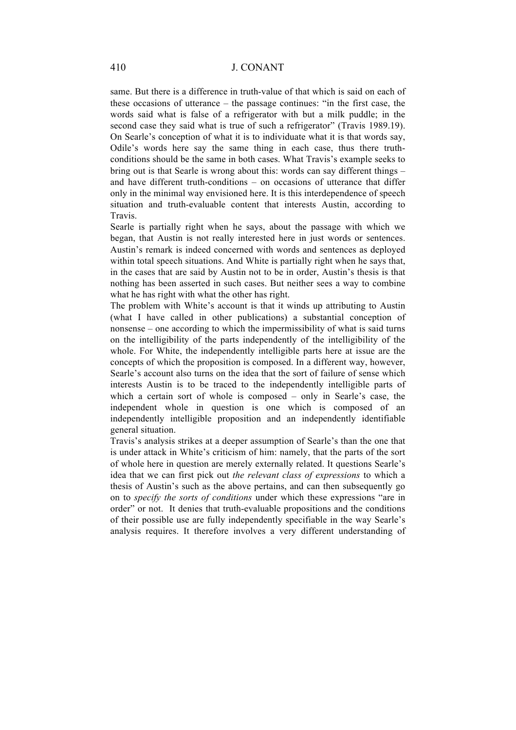same. But there is a difference in truth-value of that which is said on each of these occasions of utterance – the passage continues: "in the first case, the words said what is false of a refrigerator with but a milk puddle; in the second case they said what is true of such a refrigerator" (Travis 1989.19). On Searle's conception of what it is to individuate what it is that words say, Odile's words here say the same thing in each case, thus there truthconditions should be the same in both cases. What Travis's example seeks to bring out is that Searle is wrong about this: words can say different things – and have different truth-conditions – on occasions of utterance that differ only in the minimal way envisioned here. It is this interdependence of speech situation and truth-evaluable content that interests Austin, according to Travis.

Searle is partially right when he says, about the passage with which we began, that Austin is not really interested here in just words or sentences. Austin's remark is indeed concerned with words and sentences as deployed within total speech situations. And White is partially right when he says that, in the cases that are said by Austin not to be in order, Austin's thesis is that nothing has been asserted in such cases. But neither sees a way to combine what he has right with what the other has right.

The problem with White's account is that it winds up attributing to Austin (what I have called in other publications) a substantial conception of nonsense – one according to which the impermissibility of what is said turns on the intelligibility of the parts independently of the intelligibility of the whole. For White, the independently intelligible parts here at issue are the concepts of which the proposition is composed. In a different way, however, Searle's account also turns on the idea that the sort of failure of sense which interests Austin is to be traced to the independently intelligible parts of which a certain sort of whole is composed – only in Searle's case, the independent whole in question is one which is composed of an independently intelligible proposition and an independently identifiable general situation.

Travis's analysis strikes at a deeper assumption of Searle's than the one that is under attack in White's criticism of him: namely, that the parts of the sort of whole here in question are merely externally related. It questions Searle's idea that we can first pick out *the relevant class of expressions* to which a thesis of Austin's such as the above pertains, and can then subsequently go on to *specify the sorts of conditions* under which these expressions "are in order" or not. It denies that truth-evaluable propositions and the conditions of their possible use are fully independently specifiable in the way Searle's analysis requires. It therefore involves a very different understanding of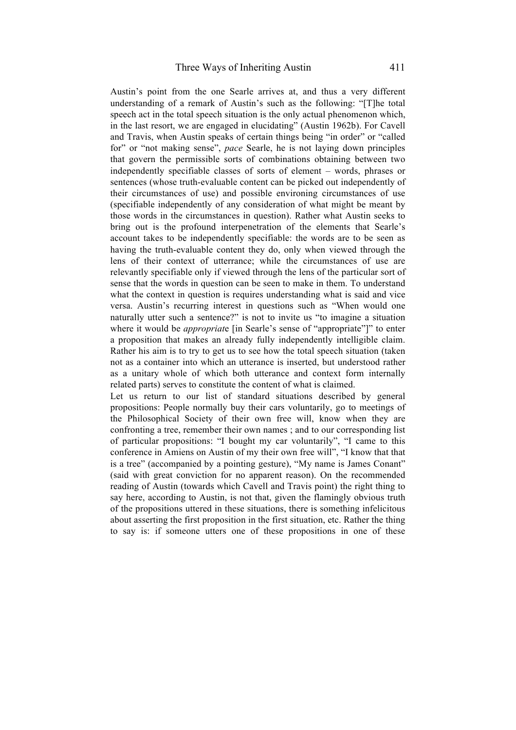Austin's point from the one Searle arrives at, and thus a very different understanding of a remark of Austin's such as the following: "[T]he total speech act in the total speech situation is the only actual phenomenon which, in the last resort, we are engaged in elucidating" (Austin 1962b). For Cavell and Travis, when Austin speaks of certain things being "in order" or "called for" or "not making sense", *pace* Searle, he is not laying down principles that govern the permissible sorts of combinations obtaining between two independently specifiable classes of sorts of element – words, phrases or sentences (whose truth-evaluable content can be picked out independently of their circumstances of use) and possible environing circumstances of use (specifiable independently of any consideration of what might be meant by those words in the circumstances in question). Rather what Austin seeks to bring out is the profound interpenetration of the elements that Searle's account takes to be independently specifiable: the words are to be seen as having the truth-evaluable content they do, only when viewed through the lens of their context of utterrance; while the circumstances of use are relevantly specifiable only if viewed through the lens of the particular sort of sense that the words in question can be seen to make in them. To understand what the context in question is requires understanding what is said and vice versa. Austin's recurring interest in questions such as "When would one naturally utter such a sentence?" is not to invite us "to imagine a situation where it would be *appropriat*e [in Searle's sense of "appropriate"]" to enter a proposition that makes an already fully independently intelligible claim. Rather his aim is to try to get us to see how the total speech situation (taken not as a container into which an utterance is inserted, but understood rather as a unitary whole of which both utterance and context form internally related parts) serves to constitute the content of what is claimed.

Let us return to our list of standard situations described by general propositions: People normally buy their cars voluntarily, go to meetings of the Philosophical Society of their own free will, know when they are confronting a tree, remember their own names ; and to our corresponding list of particular propositions: "I bought my car voluntarily", "I came to this conference in Amiens on Austin of my their own free will", "I know that that is a tree" (accompanied by a pointing gesture), "My name is James Conant" (said with great conviction for no apparent reason). On the recommended reading of Austin (towards which Cavell and Travis point) the right thing to say here, according to Austin, is not that, given the flamingly obvious truth of the propositions uttered in these situations, there is something infelicitous about asserting the first proposition in the first situation, etc. Rather the thing to say is: if someone utters one of these propositions in one of these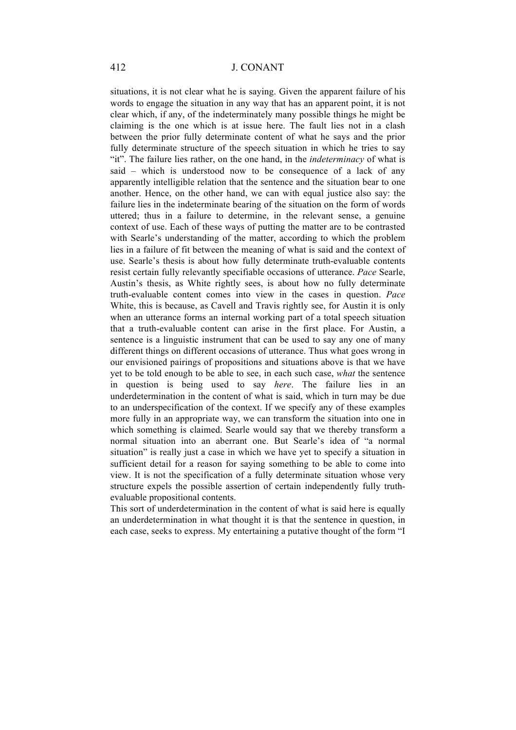situations, it is not clear what he is saying. Given the apparent failure of his words to engage the situation in any way that has an apparent point, it is not clear which, if any, of the indeterminately many possible things he might be claiming is the one which is at issue here. The fault lies not in a clash between the prior fully determinate content of what he says and the prior fully determinate structure of the speech situation in which he tries to say "it". The failure lies rather, on the one hand, in the *indeterminacy* of what is said – which is understood now to be consequence of a lack of any apparently intelligible relation that the sentence and the situation bear to one another. Hence, on the other hand, we can with equal justice also say: the failure lies in the indeterminate bearing of the situation on the form of words uttered; thus in a failure to determine, in the relevant sense, a genuine context of use. Each of these ways of putting the matter are to be contrasted with Searle's understanding of the matter, according to which the problem lies in a failure of fit between the meaning of what is said and the context of use. Searle's thesis is about how fully determinate truth-evaluable contents resist certain fully relevantly specifiable occasions of utterance. *Pace* Searle, Austin's thesis, as White rightly sees, is about how no fully determinate truth-evaluable content comes into view in the cases in question. *Pace* White, this is because, as Cavell and Travis rightly see, for Austin it is only when an utterance forms an internal working part of a total speech situation that a truth-evaluable content can arise in the first place. For Austin, a sentence is a linguistic instrument that can be used to say any one of many different things on different occasions of utterance. Thus what goes wrong in our envisioned pairings of propositions and situations above is that we have yet to be told enough to be able to see, in each such case, *what* the sentence in question is being used to say *here*. The failure lies in an underdetermination in the content of what is said, which in turn may be due to an underspecification of the context. If we specify any of these examples more fully in an appropriate way, we can transform the situation into one in which something is claimed. Searle would say that we thereby transform a normal situation into an aberrant one. But Searle's idea of "a normal situation" is really just a case in which we have yet to specify a situation in sufficient detail for a reason for saying something to be able to come into view. It is not the specification of a fully determinate situation whose very structure expels the possible assertion of certain independently fully truthevaluable propositional contents.

This sort of underdetermination in the content of what is said here is equally an underdetermination in what thought it is that the sentence in question, in each case, seeks to express. My entertaining a putative thought of the form "I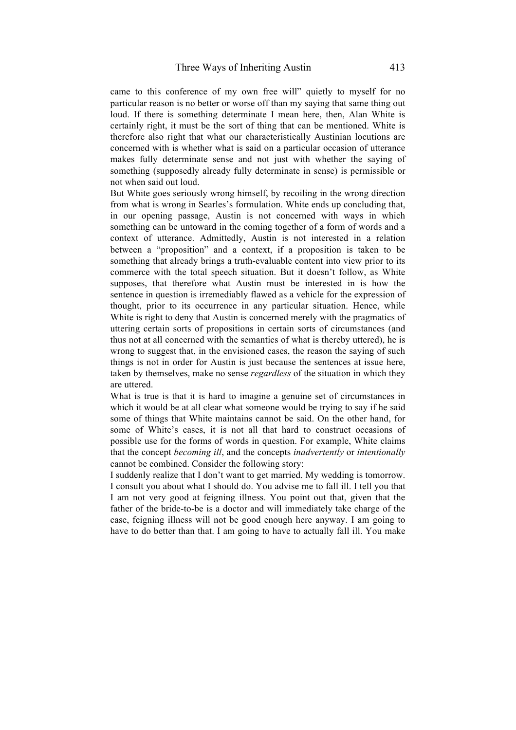came to this conference of my own free will" quietly to myself for no particular reason is no better or worse off than my saying that same thing out loud. If there is something determinate I mean here, then, Alan White is certainly right, it must be the sort of thing that can be mentioned. White is therefore also right that what our characteristically Austinian locutions are concerned with is whether what is said on a particular occasion of utterance makes fully determinate sense and not just with whether the saying of something (supposedly already fully determinate in sense) is permissible or not when said out loud.

But White goes seriously wrong himself, by recoiling in the wrong direction from what is wrong in Searles's formulation. White ends up concluding that, in our opening passage, Austin is not concerned with ways in which something can be untoward in the coming together of a form of words and a context of utterance. Admittedly, Austin is not interested in a relation between a "proposition" and a context, if a proposition is taken to be something that already brings a truth-evaluable content into view prior to its commerce with the total speech situation. But it doesn't follow, as White supposes, that therefore what Austin must be interested in is how the sentence in question is irremediably flawed as a vehicle for the expression of thought, prior to its occurrence in any particular situation. Hence, while White is right to deny that Austin is concerned merely with the pragmatics of uttering certain sorts of propositions in certain sorts of circumstances (and thus not at all concerned with the semantics of what is thereby uttered), he is wrong to suggest that, in the envisioned cases, the reason the saying of such things is not in order for Austin is just because the sentences at issue here, taken by themselves, make no sense *regardless* of the situation in which they are uttered.

What is true is that it is hard to imagine a genuine set of circumstances in which it would be at all clear what someone would be trying to say if he said some of things that White maintains cannot be said. On the other hand, for some of White's cases, it is not all that hard to construct occasions of possible use for the forms of words in question. For example, White claims that the concept *becoming ill*, and the concepts *inadvertently* or *intentionally* cannot be combined. Consider the following story:

I suddenly realize that I don't want to get married. My wedding is tomorrow. I consult you about what I should do. You advise me to fall ill. I tell you that I am not very good at feigning illness. You point out that, given that the father of the bride-to-be is a doctor and will immediately take charge of the case, feigning illness will not be good enough here anyway. I am going to have to do better than that. I am going to have to actually fall ill. You make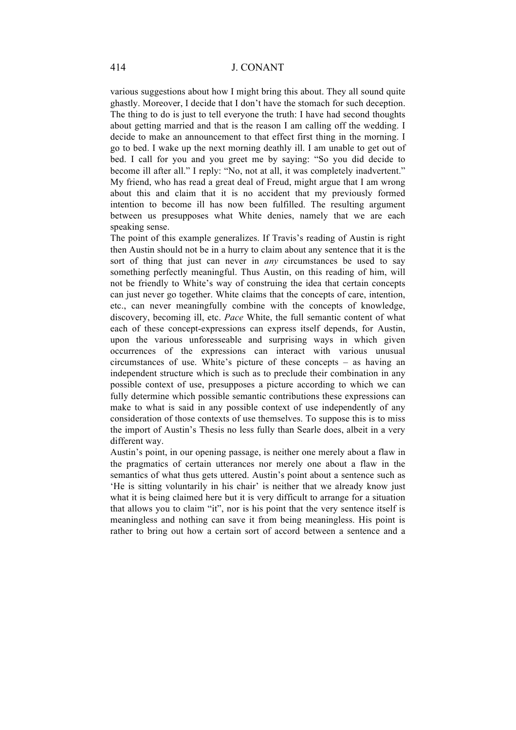various suggestions about how I might bring this about. They all sound quite ghastly. Moreover, I decide that I don't have the stomach for such deception. The thing to do is just to tell everyone the truth: I have had second thoughts about getting married and that is the reason I am calling off the wedding. I decide to make an announcement to that effect first thing in the morning. I go to bed. I wake up the next morning deathly ill. I am unable to get out of bed. I call for you and you greet me by saying: "So you did decide to become ill after all." I reply: "No, not at all, it was completely inadvertent." My friend, who has read a great deal of Freud, might argue that I am wrong about this and claim that it is no accident that my previously formed intention to become ill has now been fulfilled. The resulting argument between us presupposes what White denies, namely that we are each speaking sense.

The point of this example generalizes. If Travis's reading of Austin is right then Austin should not be in a hurry to claim about any sentence that it is the sort of thing that just can never in *any* circumstances be used to say something perfectly meaningful. Thus Austin, on this reading of him, will not be friendly to White's way of construing the idea that certain concepts can just never go together. White claims that the concepts of care, intention, etc., can never meaningfully combine with the concepts of knowledge, discovery, becoming ill, etc. *Pace* White, the full semantic content of what each of these concept-expressions can express itself depends, for Austin, upon the various unforesseable and surprising ways in which given occurrences of the expressions can interact with various unusual circumstances of use. White's picture of these concepts – as having an independent structure which is such as to preclude their combination in any possible context of use, presupposes a picture according to which we can fully determine which possible semantic contributions these expressions can make to what is said in any possible context of use independently of any consideration of those contexts of use themselves. To suppose this is to miss the import of Austin's Thesis no less fully than Searle does, albeit in a very different way.

Austin's point, in our opening passage, is neither one merely about a flaw in the pragmatics of certain utterances nor merely one about a flaw in the semantics of what thus gets uttered. Austin's point about a sentence such as 'He is sitting voluntarily in his chair' is neither that we already know just what it is being claimed here but it is very difficult to arrange for a situation that allows you to claim "it", nor is his point that the very sentence itself is meaningless and nothing can save it from being meaningless. His point is rather to bring out how a certain sort of accord between a sentence and a